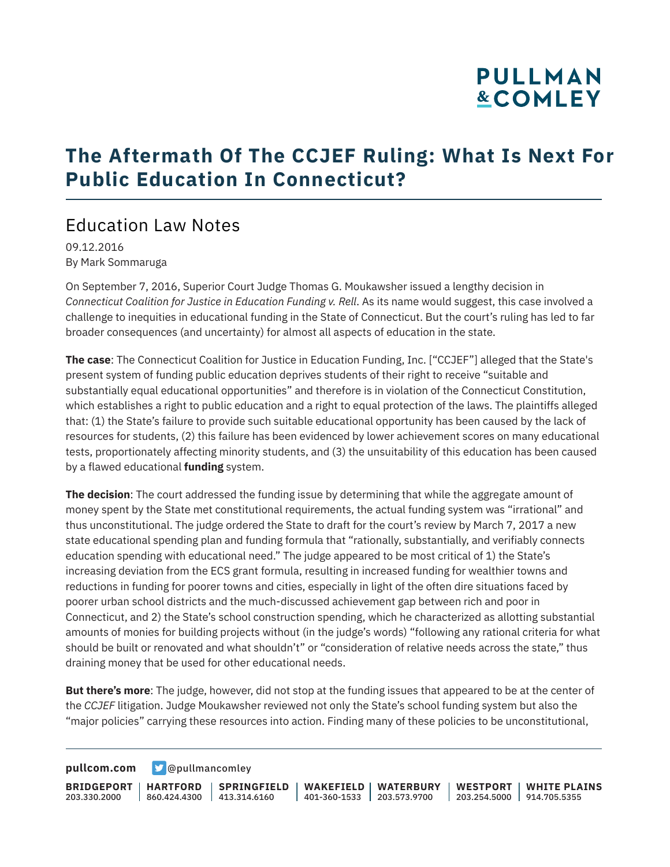## **PULLMAN &COMLEY**

### **The Aftermath Of The CCJEF Ruling: What Is Next For Public Education In Connecticut?**

### Education Law Notes

09.12.2016 By Mark Sommaruga

On September 7, 2016, Superior Court Judge Thomas G. Moukawsher issued a lengthy decision in *Connecticut Coalition for Justice in Education Funding v. Rell*. As its name would suggest, this case involved a challenge to inequities in educational funding in the State of Connecticut. But the court's ruling has led to far broader consequences (and uncertainty) for almost all aspects of education in the state.

**The case**: The Connecticut Coalition for Justice in Education Funding, Inc. ["CCJEF"] alleged that the State's present system of funding public education deprives students of their right to receive "suitable and substantially equal educational opportunities" and therefore is in violation of the Connecticut Constitution, which establishes a right to public education and a right to equal protection of the laws. The plaintiffs alleged that: (1) the State's failure to provide such suitable educational opportunity has been caused by the lack of resources for students, (2) this failure has been evidenced by lower achievement scores on many educational tests, proportionately affecting minority students, and (3) the unsuitability of this education has been caused by a flawed educational **funding** system.

**The decision**: The court addressed the funding issue by determining that while the aggregate amount of money spent by the State met constitutional requirements, the actual funding system was "irrational" and thus unconstitutional. The judge ordered the State to draft for the court's review by March 7, 2017 a new state educational spending plan and funding formula that "rationally, substantially, and verifiably connects education spending with educational need." The judge appeared to be most critical of 1) the State's increasing deviation from the ECS grant formula, resulting in increased funding for wealthier towns and reductions in funding for poorer towns and cities, especially in light of the often dire situations faced by poorer urban school districts and the much-discussed achievement gap between rich and poor in Connecticut, and 2) the State's school construction spending, which he characterized as allotting substantial amounts of monies for building projects without (in the judge's words) "following any rational criteria for what should be built or renovated and what shouldn't" or "consideration of relative needs across the state," thus draining money that be used for other educational needs.

**But there's more**: The judge, however, did not stop at the funding issues that appeared to be at the center of the *CCJEF* litigation. Judge Moukawsher reviewed not only the State's school funding system but also the "major policies" carrying these resources into action. Finding many of these policies to be unconstitutional,

**[pullcom.com](https://www.pullcom.com) g** [@pullmancomley](https://twitter.com/PullmanComley)

**BRIDGEPORT** 203.330.2000 **HARTFORD** 860.424.4300 413.314.6160 **SPRINGFIELD WAKEFIELD WATERBURY** 401-360-1533 203.573.9700 **WESTPORT WHITE PLAINS** 203.254.5000 914.705.5355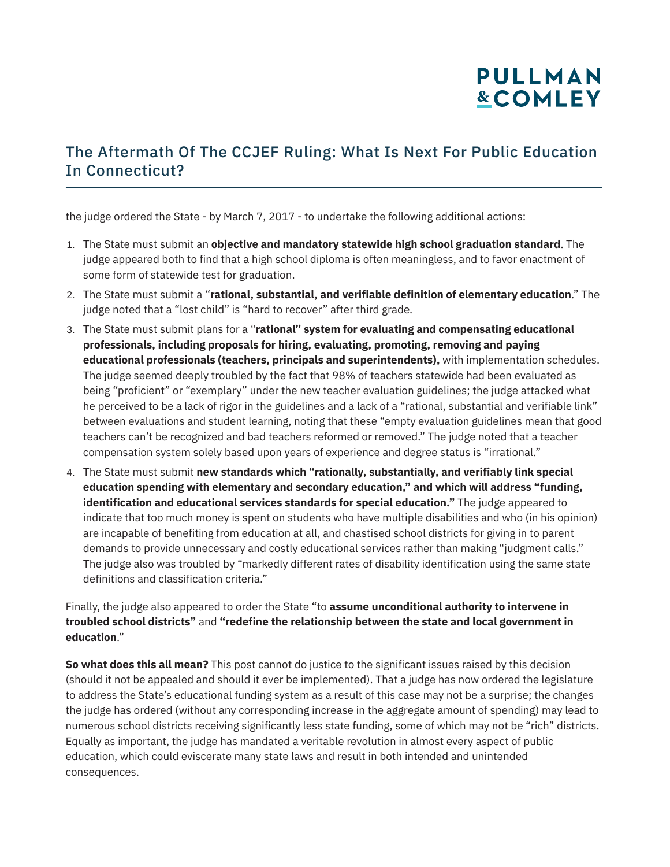## **PULLMAN &COMLEY**

### The Aftermath Of The CCJEF Ruling: What Is Next For Public Education In Connecticut?

the judge ordered the State - by March 7, 2017 - to undertake the following additional actions:

- 1. The State must submit an **objective and mandatory statewide high school graduation standard**. The judge appeared both to find that a high school diploma is often meaningless, and to favor enactment of some form of statewide test for graduation.
- 2. The State must submit a "**rational, substantial, and verifiable definition of elementary education**." The judge noted that a "lost child" is "hard to recover" after third grade.
- 3. The State must submit plans for a "**rational" system for evaluating and compensating educational professionals, including proposals for hiring, evaluating, promoting, removing and paying educational professionals (teachers, principals and superintendents),** with implementation schedules. The judge seemed deeply troubled by the fact that 98% of teachers statewide had been evaluated as being "proficient" or "exemplary" under the new teacher evaluation guidelines; the judge attacked what he perceived to be a lack of rigor in the guidelines and a lack of a "rational, substantial and verifiable link" between evaluations and student learning, noting that these "empty evaluation guidelines mean that good teachers can't be recognized and bad teachers reformed or removed." The judge noted that a teacher compensation system solely based upon years of experience and degree status is "irrational."
- 4. The State must submit **new standards which "rationally, substantially, and verifiably link special education spending with elementary and secondary education," and which will address "funding, identification and educational services standards for special education."** The judge appeared to indicate that too much money is spent on students who have multiple disabilities and who (in his opinion) are incapable of benefiting from education at all, and chastised school districts for giving in to parent demands to provide unnecessary and costly educational services rather than making "judgment calls." The judge also was troubled by "markedly different rates of disability identification using the same state definitions and classification criteria."

#### Finally, the judge also appeared to order the State "to **assume unconditional authority to intervene in troubled school districts"** and **"redefine the relationship between the state and local government in education**."

**So what does this all mean?** This post cannot do justice to the significant issues raised by this decision (should it not be appealed and should it ever be implemented). That a judge has now ordered the legislature to address the State's educational funding system as a result of this case may not be a surprise; the changes the judge has ordered (without any corresponding increase in the aggregate amount of spending) may lead to numerous school districts receiving significantly less state funding, some of which may not be "rich" districts. Equally as important, the judge has mandated a veritable revolution in almost every aspect of public education, which could eviscerate many state laws and result in both intended and unintended consequences.